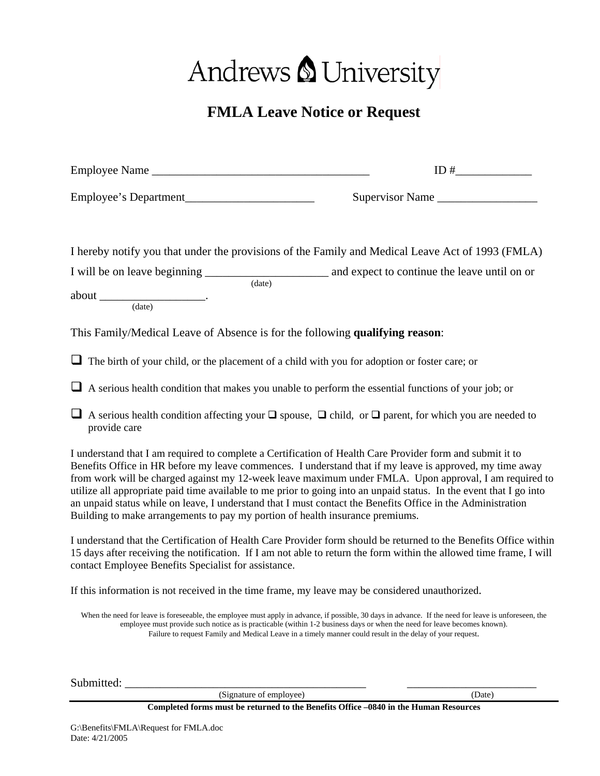## Andrews & University

## **FMLA Leave Notice or Request**

|                                                                                                                                                                                                                                                                                                                                                                                                                                                                                                                                                                                                                                                        | ID#                                                                                                                                                                                                                                                                                                                                                                                            |
|--------------------------------------------------------------------------------------------------------------------------------------------------------------------------------------------------------------------------------------------------------------------------------------------------------------------------------------------------------------------------------------------------------------------------------------------------------------------------------------------------------------------------------------------------------------------------------------------------------------------------------------------------------|------------------------------------------------------------------------------------------------------------------------------------------------------------------------------------------------------------------------------------------------------------------------------------------------------------------------------------------------------------------------------------------------|
| Employee's Department                                                                                                                                                                                                                                                                                                                                                                                                                                                                                                                                                                                                                                  | Supervisor Name                                                                                                                                                                                                                                                                                                                                                                                |
| I hereby notify you that under the provisions of the Family and Medical Leave Act of 1993 (FMLA)<br>$\begin{picture}(150,10) \put(0,0){\vector(1,0){100}} \put(15,0){\vector(1,0){100}} \put(15,0){\vector(1,0){100}} \put(15,0){\vector(1,0){100}} \put(15,0){\vector(1,0){100}} \put(15,0){\vector(1,0){100}} \put(15,0){\vector(1,0){100}} \put(15,0){\vector(1,0){100}} \put(15,0){\vector(1,0){100}} \put(15,0){\vector(1,0){100}} \put(15,0){\vector(1,0){100}}$<br>This Family/Medical Leave of Absence is for the following qualifying reason:                                                                                                 |                                                                                                                                                                                                                                                                                                                                                                                                |
|                                                                                                                                                                                                                                                                                                                                                                                                                                                                                                                                                                                                                                                        |                                                                                                                                                                                                                                                                                                                                                                                                |
| $\Box$ The birth of your child, or the placement of a child with you for adoption or foster care; or                                                                                                                                                                                                                                                                                                                                                                                                                                                                                                                                                   |                                                                                                                                                                                                                                                                                                                                                                                                |
| $\Box$ A serious health condition that makes you unable to perform the essential functions of your job; or                                                                                                                                                                                                                                                                                                                                                                                                                                                                                                                                             |                                                                                                                                                                                                                                                                                                                                                                                                |
| A serious health condition affecting your $\Box$ spouse, $\Box$ child, or $\Box$ parent, for which you are needed to<br>provide care                                                                                                                                                                                                                                                                                                                                                                                                                                                                                                                   |                                                                                                                                                                                                                                                                                                                                                                                                |
| I understand that I am required to complete a Certification of Health Care Provider form and submit it to<br>Benefits Office in HR before my leave commences. I understand that if my leave is approved, my time away<br>from work will be charged against my 12-week leave maximum under FMLA. Upon approval, I am required to<br>utilize all appropriate paid time available to me prior to going into an unpaid status. In the event that I go into<br>an unpaid status while on leave, I understand that I must contact the Benefits Office in the Administration<br>Building to make arrangements to pay my portion of health insurance premiums. |                                                                                                                                                                                                                                                                                                                                                                                                |
| I understand that the Certification of Health Care Provider form should be returned to the Benefits Office within<br>15 days after receiving the notification. If I am not able to return the form within the allowed time frame, I will<br>contact Employee Benefits Specialist for assistance.                                                                                                                                                                                                                                                                                                                                                       |                                                                                                                                                                                                                                                                                                                                                                                                |
| If this information is not received in the time frame, my leave may be considered unauthorized.                                                                                                                                                                                                                                                                                                                                                                                                                                                                                                                                                        |                                                                                                                                                                                                                                                                                                                                                                                                |
|                                                                                                                                                                                                                                                                                                                                                                                                                                                                                                                                                                                                                                                        | When the need for leave is foreseeable, the employee must apply in advance, if possible, 30 days in advance. If the need for leave is unforeseen, the<br>employee must provide such notice as is practicable (within 1-2 business days or when the need for leave becomes known).<br>Failure to request Family and Medical Leave in a timely manner could result in the delay of your request. |
|                                                                                                                                                                                                                                                                                                                                                                                                                                                                                                                                                                                                                                                        |                                                                                                                                                                                                                                                                                                                                                                                                |

Submitted: \_\_\_\_\_\_\_\_\_\_\_\_\_\_\_\_\_\_\_\_\_\_\_\_\_\_\_\_\_\_\_\_\_\_\_\_\_\_\_\_\_ \_\_\_\_\_\_\_\_\_\_\_\_\_\_\_\_\_\_\_\_\_\_ (Signature of employee)

**Completed forms must be returned to the Benefits Office –0840 in the Human Resources**